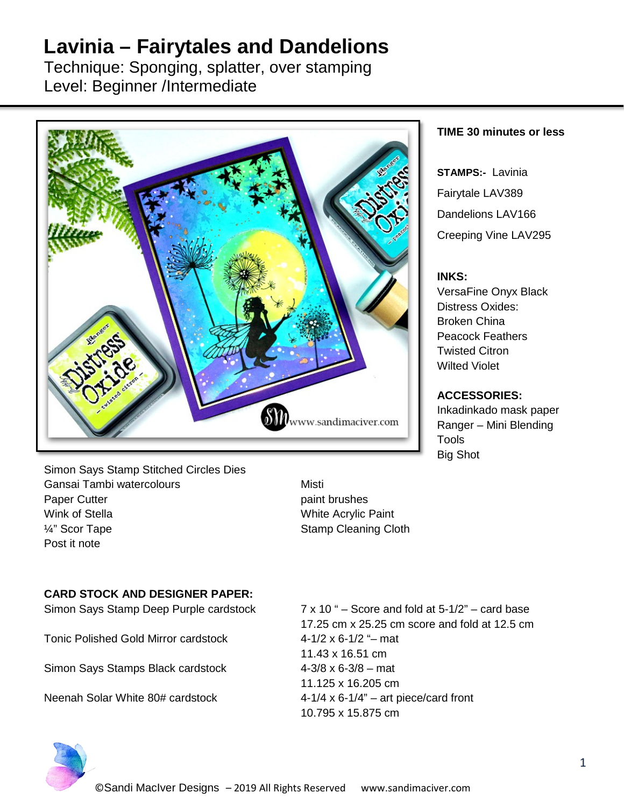# **Lavinia – Fairytales and Dandelions**

Technique: Sponging, splatter, over stamping Level: Beginner /Intermediate



#### **TIME 30 minutes or less**

**STAMPS:-** Lavinia Fairytale LAV389 Dandelions LAV166 Creeping Vine LAV295

#### **INKS:**

VersaFine Onyx Black Distress Oxides: Broken China Peacock Feathers Twisted Citron Wilted Violet

### **ACCESSORIES:**

Inkadinkado mask paper Ranger – Mini Blending **Tools** Big Shot

Simon Says Stamp Stitched Circles Dies Gansai Tambi watercolours **Misti** Misti Paper Cutter **Paper Cutter paint brushes** Wink of Stella White Acrylic Paint  $\frac{1}{4}$ " Scor Tape  $\frac{1}{4}$  Stamp Cleaning Cloth Post it note

## **CARD STOCK AND DESIGNER PAPER:**

Simon Says Stamp Deep Purple cardstock 7 x 10 " – Score and fold at 5-1/2" – card base

Tonic Polished Gold Mirror cardstock 4-1/2 x 6-1/2 "– mat

Simon Says Stamps Black cardstock 4-3/8 x 6-3/8 – mat

17.25 cm x 25.25 cm score and fold at 12.5 cm 11.43 x 16.51 cm 11.125 x 16.205 cm Neenah Solar White 80# cardstock 4-1/4 x 6-1/4" – art piece/card front 10.795 x 15.875 cm

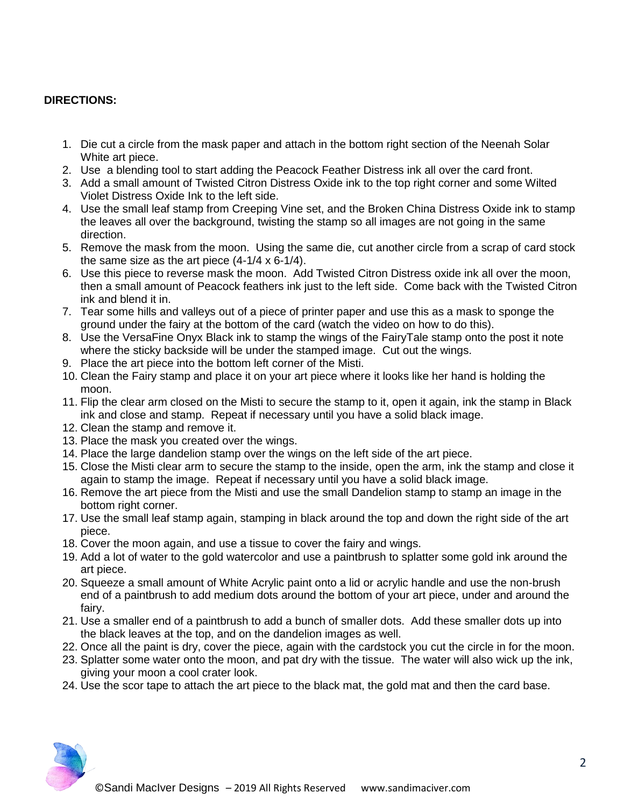## **DIRECTIONS:**

- 1. Die cut a circle from the mask paper and attach in the bottom right section of the Neenah Solar White art piece.
- 2. Use a blending tool to start adding the Peacock Feather Distress ink all over the card front.
- 3. Add a small amount of Twisted Citron Distress Oxide ink to the top right corner and some Wilted Violet Distress Oxide Ink to the left side.
- 4. Use the small leaf stamp from Creeping Vine set, and the Broken China Distress Oxide ink to stamp the leaves all over the background, twisting the stamp so all images are not going in the same direction.
- 5. Remove the mask from the moon. Using the same die, cut another circle from a scrap of card stock the same size as the art piece (4-1/4 x 6-1/4).
- 6. Use this piece to reverse mask the moon. Add Twisted Citron Distress oxide ink all over the moon, then a small amount of Peacock feathers ink just to the left side. Come back with the Twisted Citron ink and blend it in.
- 7. Tear some hills and valleys out of a piece of printer paper and use this as a mask to sponge the ground under the fairy at the bottom of the card (watch the video on how to do this).
- 8. Use the VersaFine Onyx Black ink to stamp the wings of the FairyTale stamp onto the post it note where the sticky backside will be under the stamped image. Cut out the wings.
- 9. Place the art piece into the bottom left corner of the Misti.
- 10. Clean the Fairy stamp and place it on your art piece where it looks like her hand is holding the moon.
- 11. Flip the clear arm closed on the Misti to secure the stamp to it, open it again, ink the stamp in Black ink and close and stamp. Repeat if necessary until you have a solid black image.
- 12. Clean the stamp and remove it.
- 13. Place the mask you created over the wings.
- 14. Place the large dandelion stamp over the wings on the left side of the art piece.
- 15. Close the Misti clear arm to secure the stamp to the inside, open the arm, ink the stamp and close it again to stamp the image. Repeat if necessary until you have a solid black image.
- 16. Remove the art piece from the Misti and use the small Dandelion stamp to stamp an image in the bottom right corner.
- 17. Use the small leaf stamp again, stamping in black around the top and down the right side of the art piece.
- 18. Cover the moon again, and use a tissue to cover the fairy and wings.
- 19. Add a lot of water to the gold watercolor and use a paintbrush to splatter some gold ink around the art piece.
- 20. Squeeze a small amount of White Acrylic paint onto a lid or acrylic handle and use the non-brush end of a paintbrush to add medium dots around the bottom of your art piece, under and around the fairy.
- 21. Use a smaller end of a paintbrush to add a bunch of smaller dots. Add these smaller dots up into the black leaves at the top, and on the dandelion images as well.
- 22. Once all the paint is dry, cover the piece, again with the cardstock you cut the circle in for the moon.
- 23. Splatter some water onto the moon, and pat dry with the tissue. The water will also wick up the ink, giving your moon a cool crater look.
- 24. Use the scor tape to attach the art piece to the black mat, the gold mat and then the card base.

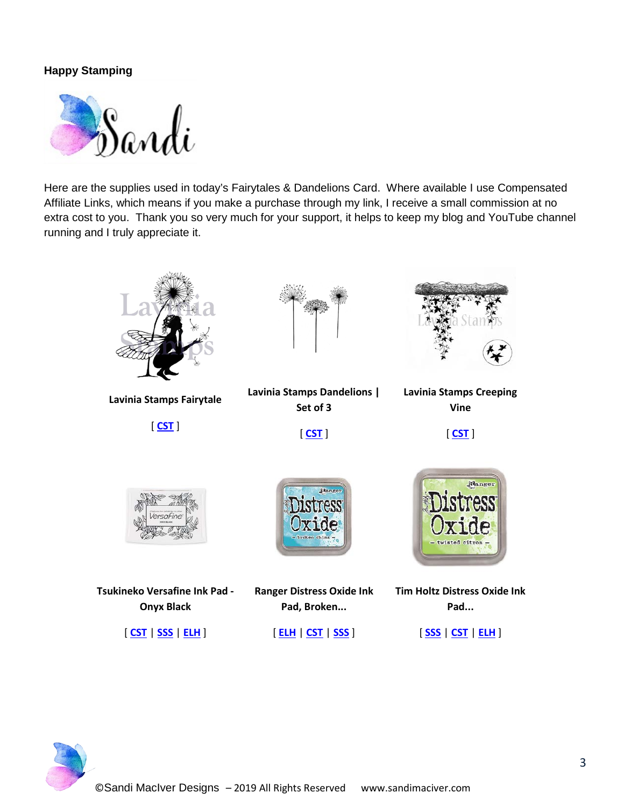# **Happy Stamping**



Here are the supplies used in today's Fairytales & Dandelions Card. Where available I use Compensated Affiliate Links, which means if you make a purchase through my link, I receive a small commission at no extra cost to you. Thank you so very much for your support, it helps to keep my blog and YouTube channel running and I truly appreciate it.



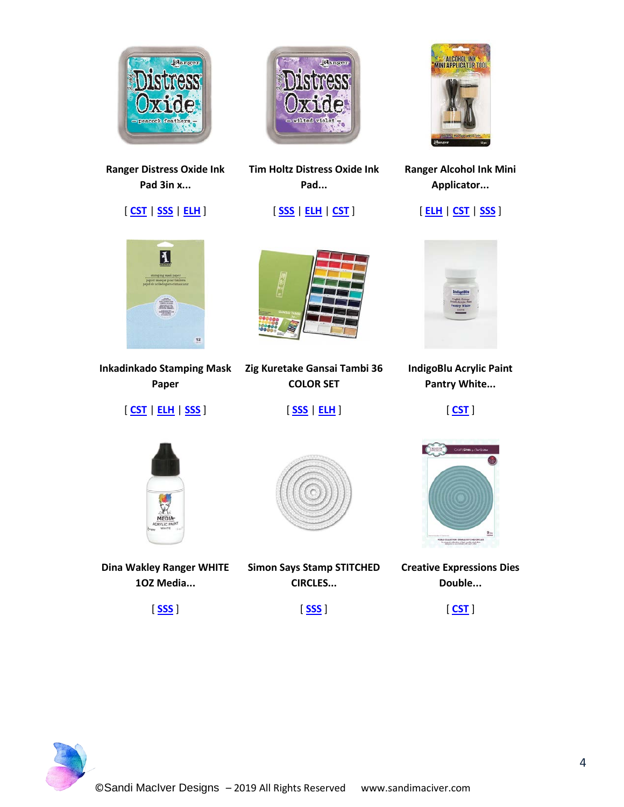

**Ranger Distress Oxide Ink Pad 3in x...**

[ **[CST](https://ldli.co/e/40xrek)** | **[SSS](https://ldli.co/e/20yre6)** | **[ELH](https://ldli.co/e/5o17em)** ]



**Inkadinkado Stamping Mask Paper**

[ **[CST](https://ldli.co/e/pk6od9)** | **[ELH](https://ldli.co/e/rq039e)** | **[SSS](https://ldli.co/e/o9n41j)** ]



**Tim Holtz Distress Oxide Ink Pad...**

[ **[SSS](https://ldli.co/e/30l9e3)** | **[ELH](https://ldli.co/e/mdkele)** | **[CST](https://ldli.co/e/e4017l)** ]



**Ranger Alcohol Ink Mini Applicator...**

[ **[ELH](https://ldli.co/e/q7gmzd)** | **[CST](https://ldli.co/e/jldr41)** | **[SSS](https://ldli.co/e/yq91oq)** ]



**IndigoBlu Acrylic Paint Pantry White...**

[ **[CST](https://ldli.co/e/12yreq)** ]





**Zig Kuretake Gansai Tambi 36 COLOR SET**

[ **[SSS](https://ldli.co/e/l19o52)** | **[ELH](https://ldli.co/e/xqzx0z)** ]

**Dina Wakley Ranger WHITE 1OZ Media...**

**Simon Says Stamp STITCHED CIRCLES...**



**Creative Expressions Dies Double...**

[ **[SSS](https://ldli.co/e/d4gxkk)** ]





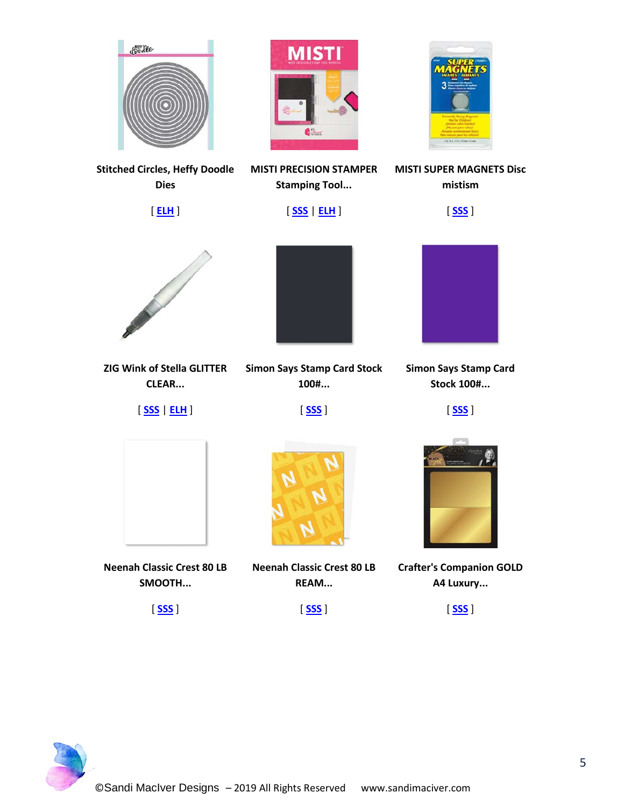